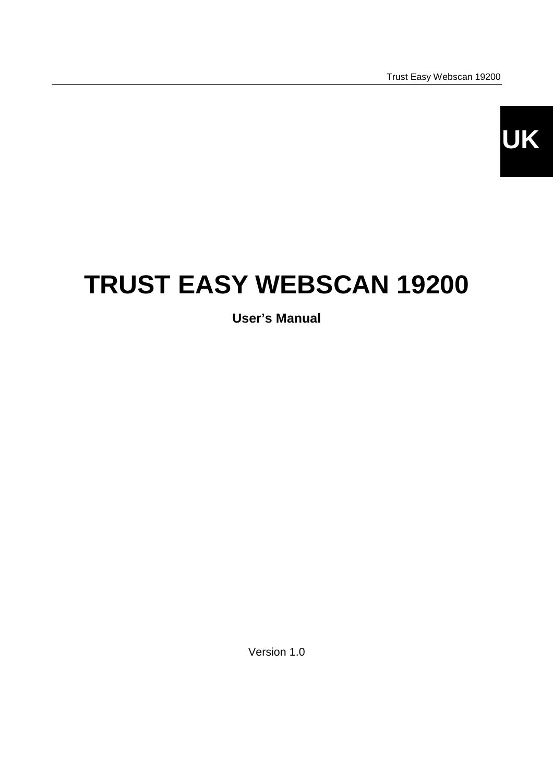

# **TRUST EASY WEBSCAN 19200**

**User's Manual**

Version 1.0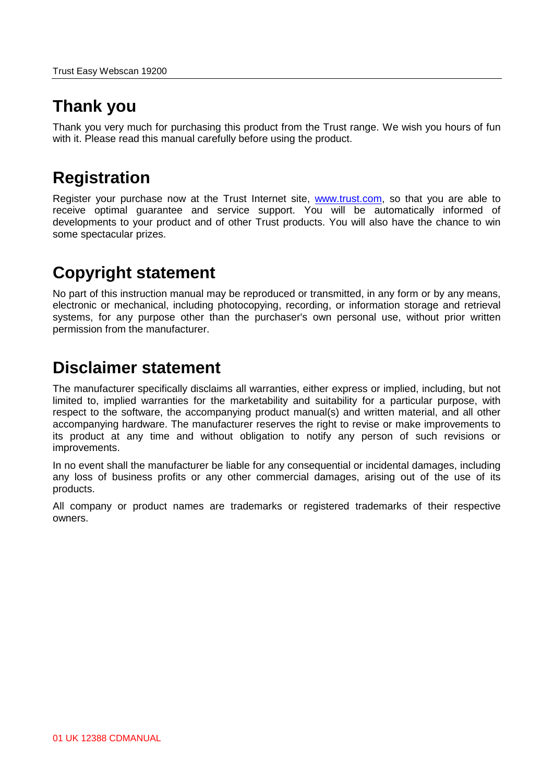## **Thank you**

Thank you very much for purchasing this product from the Trust range. We wish you hours of fun with it. Please read this manual carefully before using the product.

## **Registration**

Register your purchase now at the Trust Internet site, [www.trust.com,](http://www.trust.com/) so that you are able to receive optimal guarantee and service support. You will be automatically informed of developments to your product and of other Trust products. You will also have the chance to win some spectacular prizes.

## **Copyright statement**

No part of this instruction manual may be reproduced or transmitted, in any form or by any means, electronic or mechanical, including photocopying, recording, or information storage and retrieval systems, for any purpose other than the purchaser's own personal use, without prior written permission from the manufacturer.

## **Disclaimer statement**

The manufacturer specifically disclaims all warranties, either express or implied, including, but not limited to, implied warranties for the marketability and suitability for a particular purpose, with respect to the software, the accompanying product manual(s) and written material, and all other accompanying hardware. The manufacturer reserves the right to revise or make improvements to its product at any time and without obligation to notify any person of such revisions or improvements.

In no event shall the manufacturer be liable for any consequential or incidental damages, including any loss of business profits or any other commercial damages, arising out of the use of its products.

All company or product names are trademarks or registered trademarks of their respective owners.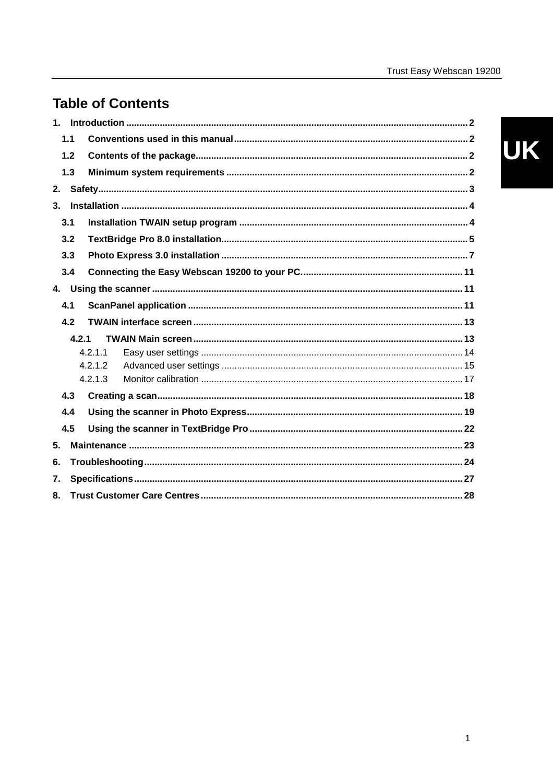## **Table of Contents**

| 1. |     |         |  |
|----|-----|---------|--|
|    | 1.1 |         |  |
|    | 1.2 |         |  |
|    | 1.3 |         |  |
| 2. |     |         |  |
| 3. |     |         |  |
|    | 3.1 |         |  |
|    | 3.2 |         |  |
|    | 3.3 |         |  |
|    | 3.4 |         |  |
| 4. |     |         |  |
|    | 4.1 |         |  |
|    | 4.2 |         |  |
|    |     | 4.2.1   |  |
|    |     | 4.2.1.1 |  |
|    |     | 4.2.1.2 |  |
|    |     | 4.2.1.3 |  |
|    | 4.3 |         |  |
|    | 4.4 |         |  |
|    | 4.5 |         |  |
| 5. |     |         |  |
| 6. |     |         |  |
| 7. |     |         |  |
| 8. |     |         |  |

# UK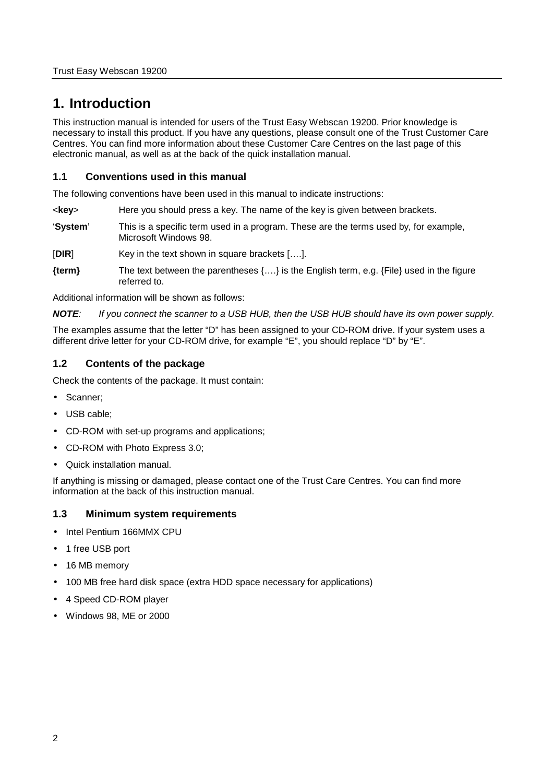## <span id="page-3-0"></span>**1. Introduction**

This instruction manual is intended for users of the Trust Easy Webscan 19200. Prior knowledge is necessary to install this product. If you have any questions, please consult one of the Trust Customer Care Centres. You can find more information about these Customer Care Centres on the last page of this electronic manual, as well as at the back of the quick installation manual.

#### **1.1 Conventions used in this manual**

The following conventions have been used in this manual to indicate instructions:

- <**key**> Here you should press a key. The name of the key is given between brackets.
- '**System**' This is a specific term used in a program. These are the terms used by, for example, Microsoft Windows 98.
- [**DIR**] Key in the text shown in square brackets [….].
- **{term}** The text between the parentheses {….} is the English term, e.g. {File} used in the figure referred to.

Additional information will be shown as follows:

*NOTE: If you connect the scanner to a USB HUB, then the USB HUB should have its own power supply.*

The examples assume that the letter "D" has been assigned to your CD-ROM drive. If your system uses a different drive letter for your CD-ROM drive, for example "E", you should replace "D" by "E".

#### **1.2 Contents of the package**

Check the contents of the package. It must contain:

- Scanner;
- USB cable;
- CD-ROM with set-up programs and applications;
- CD-ROM with Photo Express 3.0;
- Quick installation manual.

If anything is missing or damaged, please contact one of the Trust Care Centres. You can find more information at the back of this instruction manual.

#### **1.3 Minimum system requirements**

- Intel Pentium 166MMX CPU
- 1 free USB port
- 16 MB memory
- 100 MB free hard disk space (extra HDD space necessary for applications)
- 4 Speed CD-ROM player
- Windows 98, ME or 2000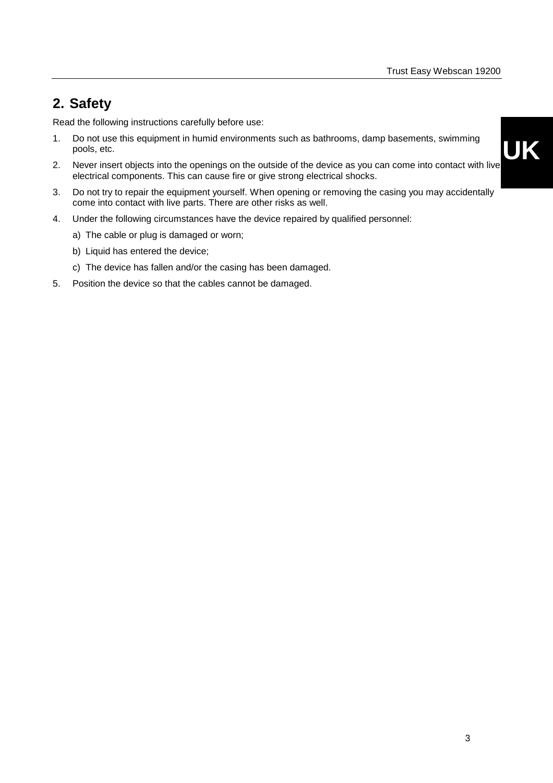## <span id="page-4-0"></span>**2. Safety**

Read the following instructions carefully before use:

- 1. Do not use this equipment in humid environments such as bathrooms, damp basements, swimming pools, etc.
- 2. Never insert objects into the openings on the outside of the device as you can come into contact with live electrical components. This can cause fire or give strong electrical shocks.
- 3. Do not try to repair the equipment yourself. When opening or removing the casing you may accidentally come into contact with live parts. There are other risks as well.
- 4. Under the following circumstances have the device repaired by qualified personnel:
	- a) The cable or plug is damaged or worn;
	- b) Liquid has entered the device;
	- c) The device has fallen and/or the casing has been damaged.
- 5. Position the device so that the cables cannot be damaged.

**UK**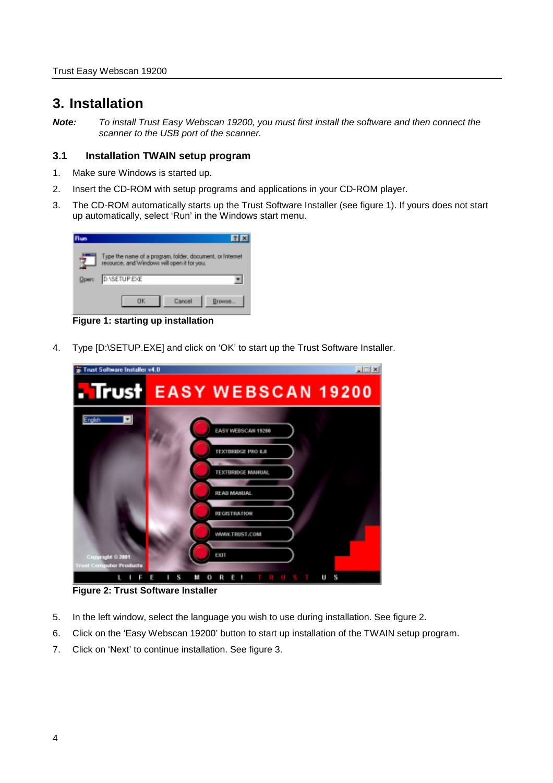### <span id="page-5-0"></span>**3. Installation**

*Note: To install Trust Easy Webscan 19200, you must first install the software and then connect the scanner to the USB port of the scanner.*

#### **3.1 Installation TWAIN setup program**

- 1. Make sure Windows is started up.
- 2. Insert the CD-ROM with setup programs and applications in your CD-ROM player.
- 3. The CD-ROM automatically starts up the Trust Software Installer (see figure 1). If yours does not start up automatically, select 'Run' in the Windows start menu.

| <b>Run</b>   |                                                                                                          |
|--------------|----------------------------------------------------------------------------------------------------------|
|              | Type the name of a program, folder, document, or Internet<br>resource, and Windows will open it for you. |
| <b>Open:</b> | <b>D: \SETUP.EXE</b>                                                                                     |
|              | пĸ<br>Browse<br>Cancel                                                                                   |

**Figure 1: starting up installation**

4. Type [D:\SETUP.EXE] and click on 'OK' to start up the Trust Software Installer.



**Figure 2: Trust Software Installer**

- 5. In the left window, select the language you wish to use during installation. See figure 2.
- 6. Click on the 'Easy Webscan 19200' button to start up installation of the TWAIN setup program.
- 7. Click on 'Next' to continue installation. See figure 3.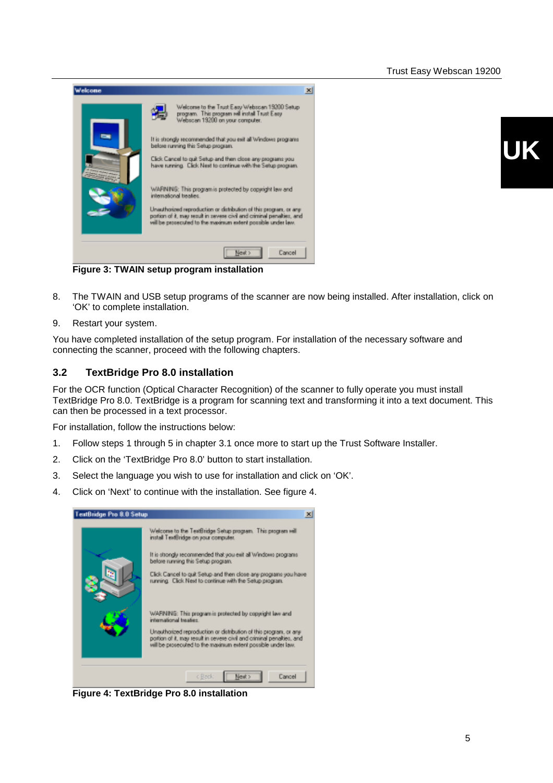<span id="page-6-0"></span>

**UK**

**Figure 3: TWAIN setup program installation**

- 8. The TWAIN and USB setup programs of the scanner are now being installed. After installation, click on 'OK' to complete installation.
- 9. Restart your system.

You have completed installation of the setup program. For installation of the necessary software and connecting the scanner, proceed with the following chapters.

#### **3.2 TextBridge Pro 8.0 installation**

For the OCR function (Optical Character Recognition) of the scanner to fully operate you must install TextBridge Pro 8.0. TextBridge is a program for scanning text and transforming it into a text document. This can then be processed in a text processor.

For installation, follow the instructions below:

- 1. Follow steps 1 through 5 in chapter 3.1 once more to start up the Trust Software Installer.
- 2. Click on the 'TextBridge Pro 8.0' button to start installation.
- 3. Select the language you wish to use for installation and click on 'OK'.
- 4. Click on 'Next' to continue with the installation. See figure 4.

| <b>TextBridge Pro 8.0 Setup</b> |                                                                                                                                                                                                            |  |
|---------------------------------|------------------------------------------------------------------------------------------------------------------------------------------------------------------------------------------------------------|--|
|                                 | Welcome to the TeatBridge Setup program. This program will<br>install TextBridge on your computer.                                                                                                         |  |
|                                 | It is strongly recommended that you exit all Windows programs<br>before running this Setup program.                                                                                                        |  |
|                                 | Elick Cancel to guit Setup and then close any programs you have<br>running. Click Next to continue with the Setup program.                                                                                 |  |
|                                 | WARNING: This program is protected by copyright law and<br>international treates.                                                                                                                          |  |
|                                 | Unauthorized reproduction or distribution of this program, or any<br>portion of it, may result in severe civil and criminal penalties, and<br>will be prosecuted to the maximum extent possible under law. |  |
|                                 | c Book<br>Next ><br>Cancel                                                                                                                                                                                 |  |

**Figure 4: TextBridge Pro 8.0 installation**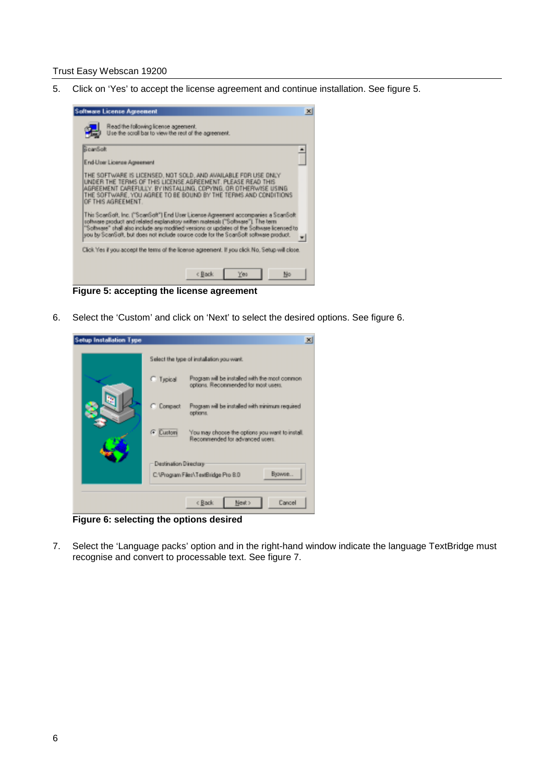5. Click on 'Yes' to accept the license agreement and continue installation. See figure 5.



**Figure 5: accepting the license agreement**

6. Select the 'Custom' and click on 'Next' to select the desired options. See figure 6.



**Figure 6: selecting the options desired**

7. Select the 'Language packs' option and in the right-hand window indicate the language TextBridge must recognise and convert to processable text. See figure 7.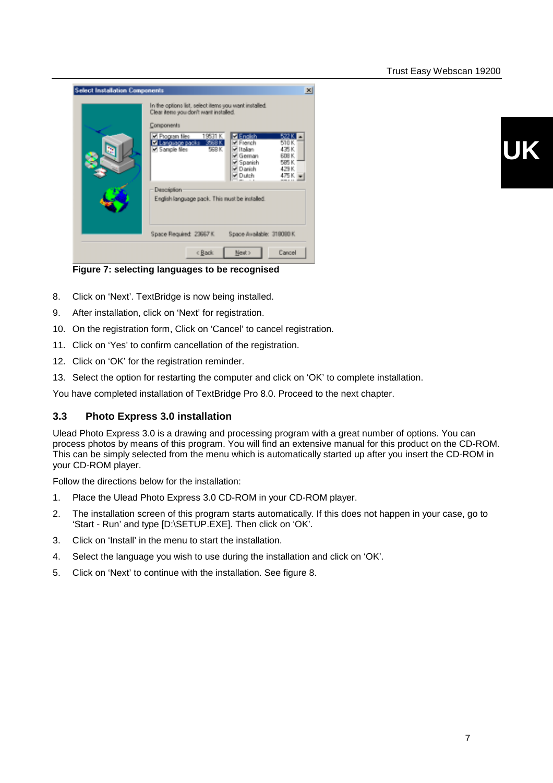<span id="page-8-0"></span>

**UK**

**Figure 7: selecting languages to be recognised**

- 8. Click on 'Next'. TextBridge is now being installed.
- 9. After installation, click on 'Next' for registration.
- 10. On the registration form, Click on 'Cancel' to cancel registration.
- 11. Click on 'Yes' to confirm cancellation of the registration.
- 12. Click on 'OK' for the registration reminder.
- 13. Select the option for restarting the computer and click on 'OK' to complete installation.

You have completed installation of TextBridge Pro 8.0. Proceed to the next chapter.

#### **3.3 Photo Express 3.0 installation**

Ulead Photo Express 3.0 is a drawing and processing program with a great number of options. You can process photos by means of this program. You will find an extensive manual for this product on the CD-ROM. This can be simply selected from the menu which is automatically started up after you insert the CD-ROM in your CD-ROM player.

Follow the directions below for the installation:

- 1. Place the Ulead Photo Express 3.0 CD-ROM in your CD-ROM player.
- 2. The installation screen of this program starts automatically. If this does not happen in your case, go to 'Start - Run' and type [D:\SETUP.EXE]. Then click on 'OK'.
- 3. Click on 'Install' in the menu to start the installation.
- 4. Select the language you wish to use during the installation and click on 'OK'.
- 5. Click on 'Next' to continue with the installation. See figure 8.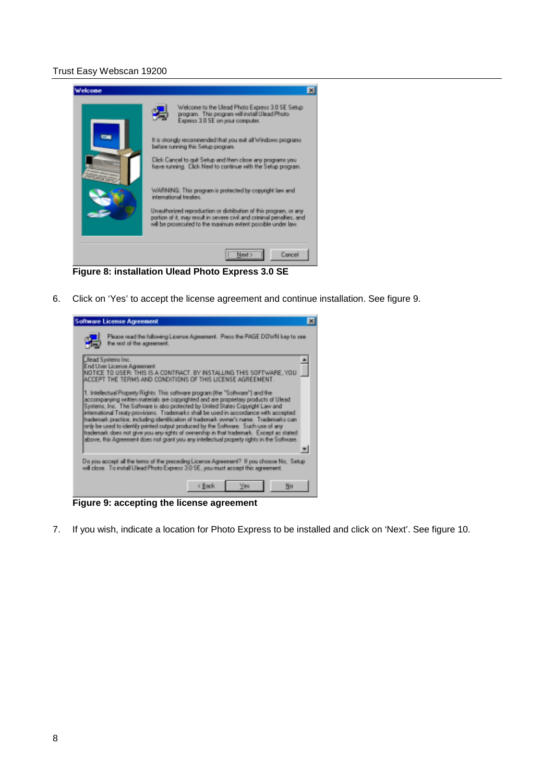

**Figure 8: installation Ulead Photo Express 3.0 SE**

6. Click on 'Yes' to accept the license agreement and continue installation. See figure 9.



**Figure 9: accepting the license agreement**

7. If you wish, indicate a location for Photo Express to be installed and click on 'Next'. See figure 10.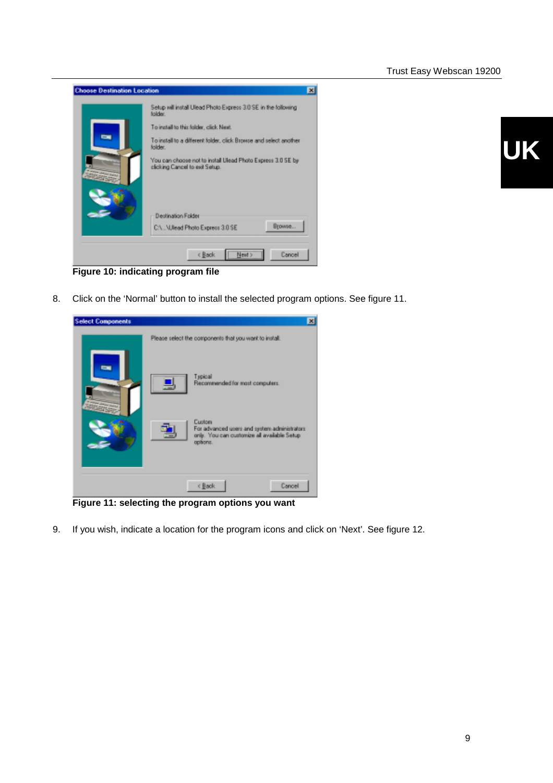



**Figure 10: indicating program file**

8. Click on the 'Normal' button to install the selected program options. See figure 11.



**Figure 11: selecting the program options you want**

9. If you wish, indicate a location for the program icons and click on 'Next'. See figure 12.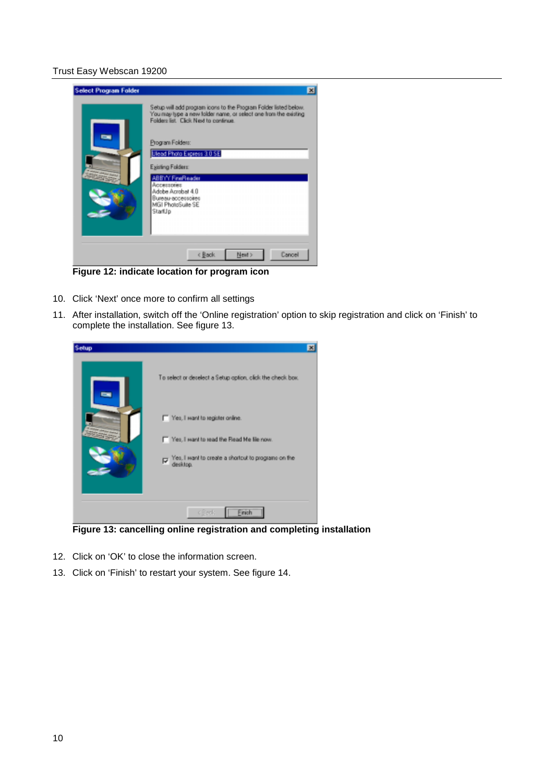

**Figure 12: indicate location for program icon**

- 10. Click 'Next' once more to confirm all settings
- 11. After installation, switch off the 'Online registration' option to skip registration and click on 'Finish' to complete the installation. See figure 13.



**Figure 13: cancelling online registration and completing installation**

- 12. Click on 'OK' to close the information screen.
- 13. Click on 'Finish' to restart your system. See figure 14.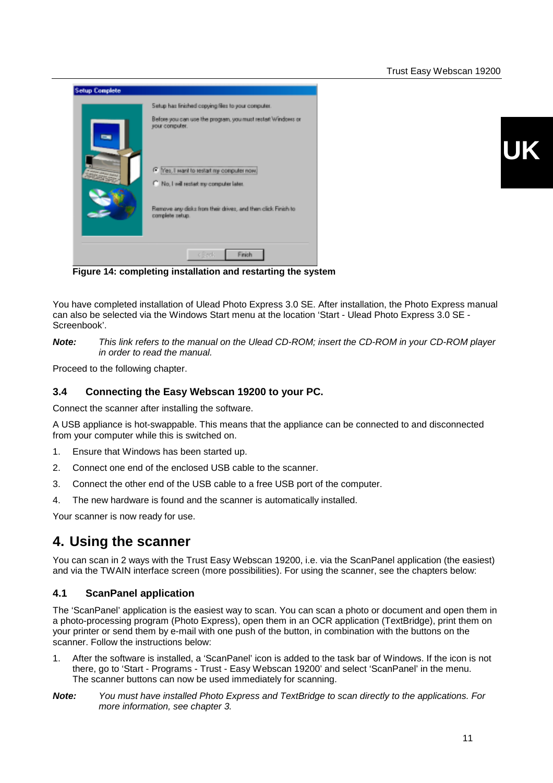<span id="page-12-0"></span>

| <b>Setup Complete</b> |                                                                                        |
|-----------------------|----------------------------------------------------------------------------------------|
|                       | Setup has finished copying files to your computer.                                     |
| ÷                     | Before you can use the program, you must restait Windows or<br>your computer.          |
|                       | (C) Yes, I want to restart my computer now.<br>C No, I will restart my computer later. |
|                       | Remove any disks from their drives, and then click Finish to<br>complete setup.        |
|                       | c Brek<br>Finish                                                                       |

**Figure 14: completing installation and restarting the system**

You have completed installation of Ulead Photo Express 3.0 SE. After installation, the Photo Express manual can also be selected via the Windows Start menu at the location 'Start - Ulead Photo Express 3.0 SE - Screenbook'.

*Note: This link refers to the manual on the Ulead CD-ROM; insert the CD-ROM in your CD-ROM player in order to read the manual.*

Proceed to the following chapter.

#### **3.4 Connecting the Easy Webscan 19200 to your PC.**

Connect the scanner after installing the software.

A USB appliance is hot-swappable. This means that the appliance can be connected to and disconnected from your computer while this is switched on.

- 1. Ensure that Windows has been started up.
- 2. Connect one end of the enclosed USB cable to the scanner.
- 3. Connect the other end of the USB cable to a free USB port of the computer.
- 4. The new hardware is found and the scanner is automatically installed.

Your scanner is now ready for use.

### **4. Using the scanner**

You can scan in 2 ways with the Trust Easy Webscan 19200, i.e. via the ScanPanel application (the easiest) and via the TWAIN interface screen (more possibilities). For using the scanner, see the chapters below:

#### **4.1 ScanPanel application**

The 'ScanPanel' application is the easiest way to scan. You can scan a photo or document and open them in a photo-processing program (Photo Express), open them in an OCR application (TextBridge), print them on your printer or send them by e-mail with one push of the button, in combination with the buttons on the scanner. Follow the instructions below:

- 1. After the software is installed, a 'ScanPanel' icon is added to the task bar of Windows. If the icon is not there, go to 'Start - Programs - Trust - Easy Webscan 19200' and select 'ScanPanel' in the menu. The scanner buttons can now be used immediately for scanning.
- *Note: You must have installed Photo Express and TextBridge to scan directly to the applications. For more information, see chapter 3.*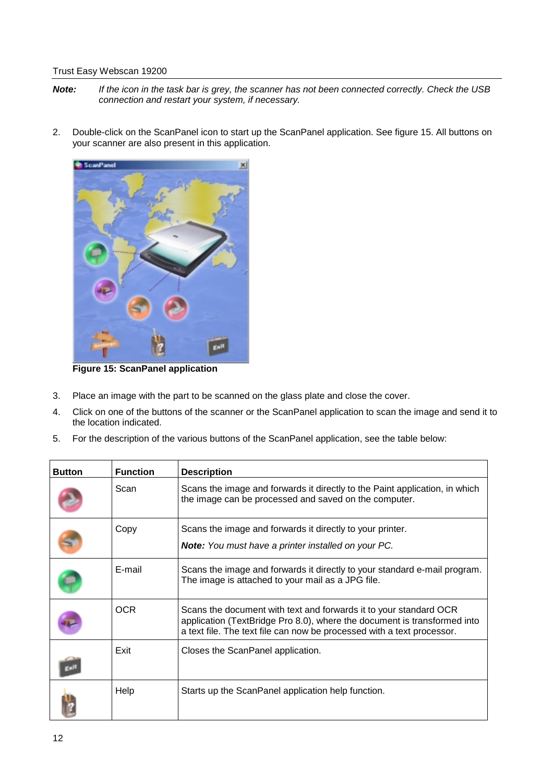- *Note: If the icon in the task bar is grey, the scanner has not been connected correctly. Check the USB connection and restart your system, if necessary.*
- 2. Double-click on the ScanPanel icon to start up the ScanPanel application. See figure 15. All buttons on your scanner are also present in this application.



**Figure 15: ScanPanel application**

- 3. Place an image with the part to be scanned on the glass plate and close the cover.
- 4. Click on one of the buttons of the scanner or the ScanPanel application to scan the image and send it to the location indicated.
- 5. For the description of the various buttons of the ScanPanel application, see the table below:

| <b>Button</b> | <b>Function</b> | <b>Description</b>                                                                                                                                                                                                      |
|---------------|-----------------|-------------------------------------------------------------------------------------------------------------------------------------------------------------------------------------------------------------------------|
|               | Scan            | Scans the image and forwards it directly to the Paint application, in which<br>the image can be processed and saved on the computer.                                                                                    |
|               | Copy            | Scans the image and forwards it directly to your printer.<br><b>Note:</b> You must have a printer installed on your PC.                                                                                                 |
|               | E-mail          | Scans the image and forwards it directly to your standard e-mail program.<br>The image is attached to your mail as a JPG file.                                                                                          |
|               | <b>OCR</b>      | Scans the document with text and forwards it to your standard OCR<br>application (TextBridge Pro 8.0), where the document is transformed into<br>a text file. The text file can now be processed with a text processor. |
|               | Exit            | Closes the ScanPanel application.                                                                                                                                                                                       |
|               | Help            | Starts up the ScanPanel application help function.                                                                                                                                                                      |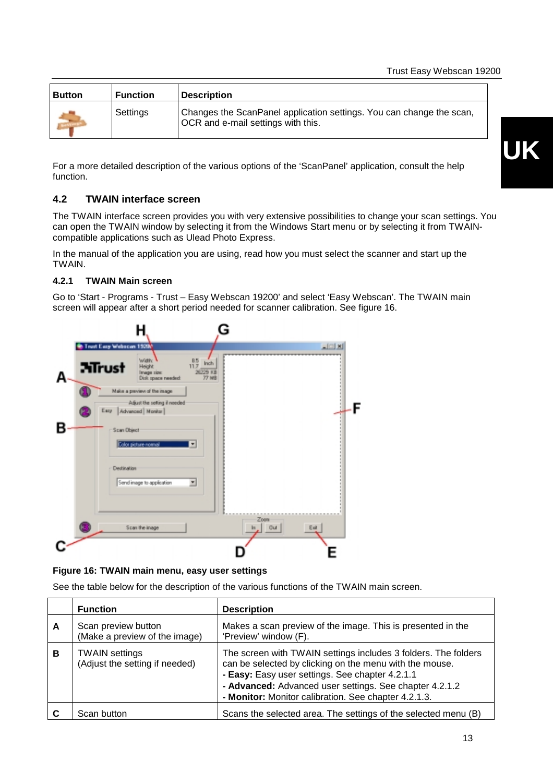<span id="page-14-0"></span>

| <b>Button</b> | <b>Function</b> | <b>Description</b>                                                                                                |
|---------------|-----------------|-------------------------------------------------------------------------------------------------------------------|
|               | Settings        | Changes the ScanPanel application settings. You can change the scan,<br><b>OCR</b> and e-mail settings with this. |

For a more detailed description of the various options of the 'ScanPanel' application, consult the help function.

#### **4.2 TWAIN interface screen**

The TWAIN interface screen provides you with very extensive possibilities to change your scan settings. You can open the TWAIN window by selecting it from the Windows Start menu or by selecting it from TWAINcompatible applications such as Ulead Photo Express.

In the manual of the application you are using, read how you must select the scanner and start up the TWAIN.

#### **4.2.1 TWAIN Main screen**

Go to 'Start - Programs - Trust – Easy Webscan 19200' and select 'Easy Webscan'. The TWAIN main screen will appear after a short period needed for scanner calibration. See figure 16.



**Figure 16: TWAIN main menu, easy user settings**

See the table below for the description of the various functions of the TWAIN main screen.

|   | <b>Function</b>                                         | <b>Description</b>                                                                                                                                                                                                                                                                              |
|---|---------------------------------------------------------|-------------------------------------------------------------------------------------------------------------------------------------------------------------------------------------------------------------------------------------------------------------------------------------------------|
| A | Scan preview button<br>(Make a preview of the image)    | Makes a scan preview of the image. This is presented in the<br>'Preview' window (F).                                                                                                                                                                                                            |
| в | <b>TWAIN settings</b><br>(Adjust the setting if needed) | The screen with TWAIN settings includes 3 folders. The folders<br>can be selected by clicking on the menu with the mouse.<br>- Easy: Easy user settings. See chapter 4.2.1.1<br>- Advanced: Advanced user settings. See chapter 4.2.1.2<br>- Monitor: Monitor calibration. See chapter 4.2.1.3. |
|   | Scan button                                             | Scans the selected area. The settings of the selected menu (B)                                                                                                                                                                                                                                  |

# **UK**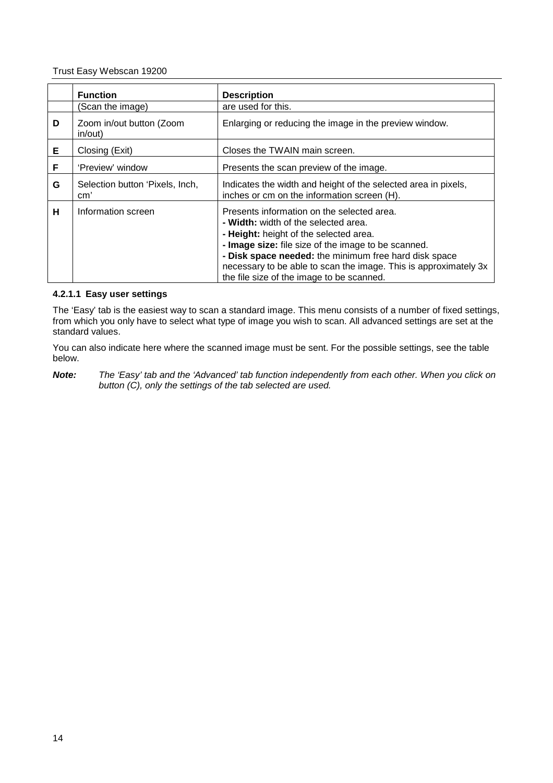|   | <b>Function</b>                        | <b>Description</b>                                                                                                                                                                                                                                                                                                                                            |
|---|----------------------------------------|---------------------------------------------------------------------------------------------------------------------------------------------------------------------------------------------------------------------------------------------------------------------------------------------------------------------------------------------------------------|
|   | (Scan the image)                       | are used for this.                                                                                                                                                                                                                                                                                                                                            |
| D | Zoom in/out button (Zoom<br>in/out)    | Enlarging or reducing the image in the preview window.                                                                                                                                                                                                                                                                                                        |
| Е | Closing (Exit)                         | Closes the TWAIN main screen.                                                                                                                                                                                                                                                                                                                                 |
| F | 'Preview' window                       | Presents the scan preview of the image.                                                                                                                                                                                                                                                                                                                       |
| G | Selection button 'Pixels, Inch,<br>cm' | Indicates the width and height of the selected area in pixels,<br>inches or cm on the information screen (H).                                                                                                                                                                                                                                                 |
| н | Information screen                     | Presents information on the selected area.<br>- Width: width of the selected area.<br>- Height: height of the selected area.<br>- Image size: file size of the image to be scanned.<br>- Disk space needed: the minimum free hard disk space<br>necessary to be able to scan the image. This is approximately 3x<br>the file size of the image to be scanned. |

#### **4.2.1.1 Easy user settings**

The 'Easy' tab is the easiest way to scan a standard image. This menu consists of a number of fixed settings, from which you only have to select what type of image you wish to scan. All advanced settings are set at the standard values.

You can also indicate here where the scanned image must be sent. For the possible settings, see the table below.

*Note: The 'Easy' tab and the 'Advanced' tab function independently from each other. When you click on button (C), only the settings of the tab selected are used.*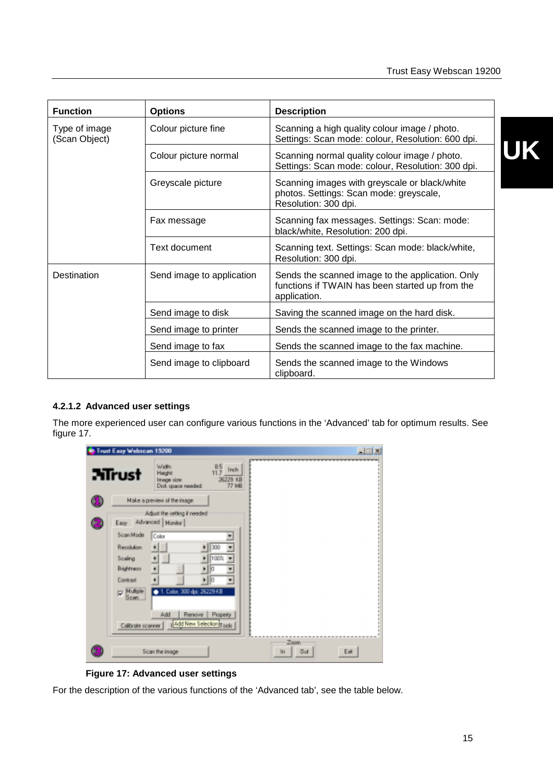<span id="page-16-0"></span>

| <b>Function</b>                | <b>Options</b>            | <b>Description</b>                                                                                                  |
|--------------------------------|---------------------------|---------------------------------------------------------------------------------------------------------------------|
| Type of image<br>(Scan Object) | Colour picture fine       | Scanning a high quality colour image / photo.<br>Settings: Scan mode: colour, Resolution: 600 dpi.                  |
|                                | Colour picture normal     | Scanning normal quality colour image / photo.<br>Settings: Scan mode: colour, Resolution: 300 dpi.                  |
|                                | Greyscale picture         | Scanning images with greyscale or black/white<br>photos. Settings: Scan mode: greyscale,<br>Resolution: 300 dpi.    |
|                                | Fax message               | Scanning fax messages. Settings: Scan: mode:<br>black/white, Resolution: 200 dpi.                                   |
|                                | Text document             | Scanning text. Settings: Scan mode: black/white,<br>Resolution: 300 dpi.                                            |
| Destination                    | Send image to application | Sends the scanned image to the application. Only<br>functions if TWAIN has been started up from the<br>application. |
|                                | Send image to disk        | Saving the scanned image on the hard disk.                                                                          |
|                                | Send image to printer     | Sends the scanned image to the printer.                                                                             |
|                                | Send image to fax         | Sends the scanned image to the fax machine.                                                                         |
|                                | Send image to clipboard   | Sends the scanned image to the Windows<br>clipboard.                                                                |

#### **4.2.1.2 Advanced user settings**

The more experienced user can configure various functions in the 'Advanced' tab for optimum results. See figure 17.

|   | <b>Trust Easy Webscan 19200</b>                                                                                                                                                                                                                                                                                                                       | $-101 \times$                   |
|---|-------------------------------------------------------------------------------------------------------------------------------------------------------------------------------------------------------------------------------------------------------------------------------------------------------------------------------------------------------|---------------------------------|
|   | Width:<br>$\frac{8.5}{11.7}$<br>Inch<br><b>M</b> rust<br>Height<br>26229 KB<br>Image size:<br><b>77 MB</b><br>Disk space needed:                                                                                                                                                                                                                      |                                 |
| П | Make a preview of the image                                                                                                                                                                                                                                                                                                                           |                                 |
|   | Adjust the setting if needed<br>Advanced   Monitor  <br>Easy<br>Scan Mode<br>Color<br>Ξ<br>300<br>Resolution<br>$\overline{\phantom{a}}$<br>$\blacksquare$<br>100%<br>Scaling<br>٠<br>Brightness<br>'n<br>Contrast<br>٠<br>Πо<br>E Multple<br>1. Calor: 300 dpi; 26229 KB<br>Renove   Property<br>Add<br>Add New Selection Tools<br>Calibrate scanner |                                 |
|   | Soan the image                                                                                                                                                                                                                                                                                                                                        | Zoom<br>$ $ Dut<br>Eut.<br>lin. |

**Figure 17: Advanced user settings**

For the description of the various functions of the 'Advanced tab', see the table below.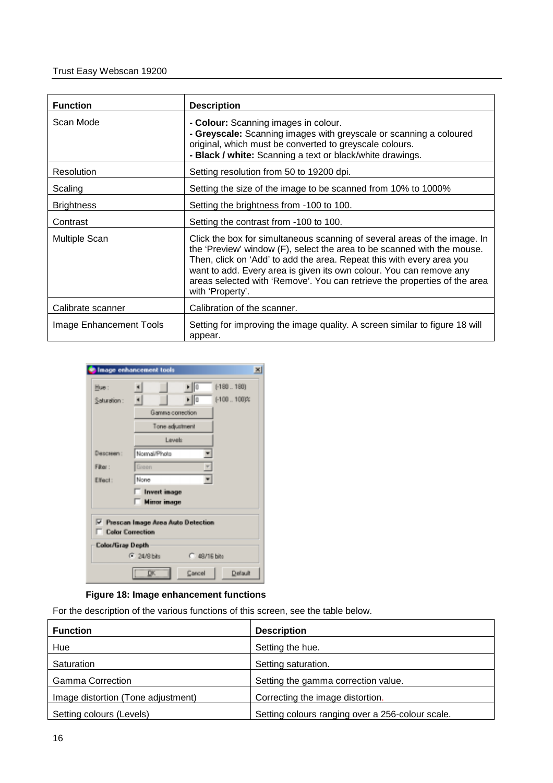| <b>Function</b>         | <b>Description</b>                                                                                                                                                                                                                                                                                                                                                                                    |
|-------------------------|-------------------------------------------------------------------------------------------------------------------------------------------------------------------------------------------------------------------------------------------------------------------------------------------------------------------------------------------------------------------------------------------------------|
| Scan Mode               | - Colour: Scanning images in colour.<br>- Greyscale: Scanning images with greyscale or scanning a coloured<br>original, which must be converted to greyscale colours.<br>- Black / white: Scanning a text or black/white drawings.                                                                                                                                                                    |
| <b>Resolution</b>       | Setting resolution from 50 to 19200 dpi.                                                                                                                                                                                                                                                                                                                                                              |
| Scaling                 | Setting the size of the image to be scanned from 10% to 1000%                                                                                                                                                                                                                                                                                                                                         |
| <b>Brightness</b>       | Setting the brightness from -100 to 100.                                                                                                                                                                                                                                                                                                                                                              |
| Contrast                | Setting the contrast from -100 to 100.                                                                                                                                                                                                                                                                                                                                                                |
| <b>Multiple Scan</b>    | Click the box for simultaneous scanning of several areas of the image. In<br>the 'Preview' window (F), select the area to be scanned with the mouse.<br>Then, click on 'Add' to add the area. Repeat this with every area you<br>want to add. Every area is given its own colour. You can remove any<br>areas selected with 'Remove'. You can retrieve the properties of the area<br>with 'Property'. |
| Calibrate scanner       | Calibration of the scanner.                                                                                                                                                                                                                                                                                                                                                                           |
| Image Enhancement Tools | Setting for improving the image quality. A screen similar to figure 18 will<br>appear.                                                                                                                                                                                                                                                                                                                |

| Image enhancement tools<br>$\mathbf{x}$                      |                                                         |  |  |  |
|--------------------------------------------------------------|---------------------------------------------------------|--|--|--|
| Hue:                                                         | $\blacktriangleright$ 0<br>$[ -180 - 180 ]$             |  |  |  |
| Saturation:                                                  | $\blacktriangleright$ $\parallel$ 0<br>$[ -100, 100]$ % |  |  |  |
|                                                              | Gamma correction                                        |  |  |  |
|                                                              | Tone adjustment                                         |  |  |  |
|                                                              | Levels                                                  |  |  |  |
| Descreen:                                                    | Normal/Photo                                            |  |  |  |
| Filter:                                                      | Green                                                   |  |  |  |
| Elfect:                                                      | None                                                    |  |  |  |
|                                                              | Invertimage                                             |  |  |  |
|                                                              | <b>Minor inage</b>                                      |  |  |  |
| Prescan Image Area Auto Detection<br><b>Color Correction</b> |                                                         |  |  |  |
| Color/Gray Depth                                             |                                                         |  |  |  |
|                                                              | (F. 24/8 bits)<br>C 49/16 hits                          |  |  |  |
| Cancel<br>Default<br>DΚ                                      |                                                         |  |  |  |

#### **Figure 18: Image enhancement functions**

For the description of the various functions of this screen, see the table below.

| <b>Function</b>                    | <b>Description</b>                               |
|------------------------------------|--------------------------------------------------|
| Hue                                | Setting the hue.                                 |
| Saturation                         | Setting saturation.                              |
| <b>Gamma Correction</b>            | Setting the gamma correction value.              |
| Image distortion (Tone adjustment) | Correcting the image distortion.                 |
| Setting colours (Levels)           | Setting colours ranging over a 256-colour scale. |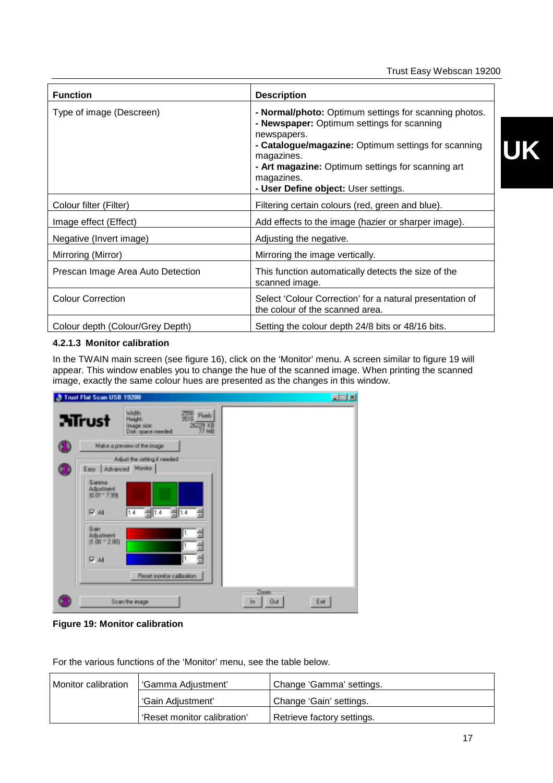<span id="page-18-0"></span>

| <b>Function</b>                   | <b>Description</b>                                                                                                                                                                                                                                                                                 |
|-----------------------------------|----------------------------------------------------------------------------------------------------------------------------------------------------------------------------------------------------------------------------------------------------------------------------------------------------|
| Type of image (Descreen)          | - Normal/photo: Optimum settings for scanning photos.<br>- Newspaper: Optimum settings for scanning<br>newspapers.<br>- Catalogue/magazine: Optimum settings for scanning<br>magazines.<br>- Art magazine: Optimum settings for scanning art<br>magazines.<br>- User Define object: User settings. |
| Colour filter (Filter)            | Filtering certain colours (red, green and blue).                                                                                                                                                                                                                                                   |
| Image effect (Effect)             | Add effects to the image (hazier or sharper image).                                                                                                                                                                                                                                                |
| Negative (Invert image)           | Adjusting the negative.                                                                                                                                                                                                                                                                            |
| Mirroring (Mirror)                | Mirroring the image vertically.                                                                                                                                                                                                                                                                    |
| Prescan Image Area Auto Detection | This function automatically detects the size of the<br>scanned image.                                                                                                                                                                                                                              |
| <b>Colour Correction</b>          | Select 'Colour Correction' for a natural presentation of<br>the colour of the scanned area.                                                                                                                                                                                                        |
| Colour depth (Colour/Grey Depth)  | Setting the colour depth 24/8 bits or 48/16 bits.                                                                                                                                                                                                                                                  |

#### **4.2.1.3 Monitor calibration**

In the TWAIN main screen (see figure 16), click on the 'Monitor' menu. A screen similar to figure 19 will appear. This window enables you to change the hue of the scanned image. When printing the scanned image, exactly the same colour hues are presented as the changes in this window.

|   | Trust Flat Scan USB 19200                                                                                             | <b>ELERN</b>                     |
|---|-----------------------------------------------------------------------------------------------------------------------|----------------------------------|
|   | Width:<br>2550<br>Poels.<br><b>Mirust</b><br>Height:<br>26229 KB<br>Image size:<br><b>77 MB</b><br>Disk space needed: |                                  |
|   | Make a preview of the image                                                                                           |                                  |
| 4 | Adjust the setting if needed<br>Easy Advanced Monitor                                                                 |                                  |
|   | Gamma<br>Adjustment<br>$[0.01^{\circ}$ 7.99<br>레져<br>$\frac{1}{2}$ 1.4<br>크<br>IV AL<br>1.4                           |                                  |
|   | Gain<br>칍<br>$\vert$ 1.<br>Adustment<br>$(1.00 - 2.00)$<br>1.<br>긜<br>픸<br>I۱.<br>IV AI                               |                                  |
|   | Reset monitor calibration                                                                                             |                                  |
|   | Scan the image                                                                                                        | Zoom<br>Exit<br><b>Out</b><br>In |

**Figure 19: Monitor calibration**

For the various functions of the 'Monitor' menu, see the table below.

| Monitor calibration | l 'Gamma Adiustment'        | Change 'Gamma' settings.   |
|---------------------|-----------------------------|----------------------------|
|                     | 'Gain Adjustment'           | Change 'Gain' settings.    |
|                     | 'Reset monitor calibration' | Retrieve factory settings. |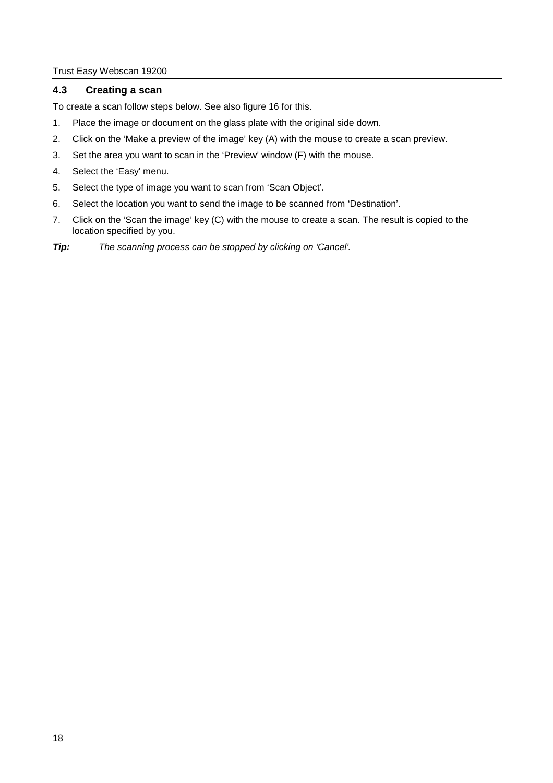#### <span id="page-19-0"></span>**4.3 Creating a scan**

To create a scan follow steps below. See also figure 16 for this.

- 1. Place the image or document on the glass plate with the original side down.
- 2. Click on the 'Make a preview of the image' key (A) with the mouse to create a scan preview.
- 3. Set the area you want to scan in the 'Preview' window (F) with the mouse.
- 4. Select the 'Easy' menu.
- 5. Select the type of image you want to scan from 'Scan Object'.
- 6. Select the location you want to send the image to be scanned from 'Destination'.
- 7. Click on the 'Scan the image' key (C) with the mouse to create a scan. The result is copied to the location specified by you.
- *Tip: The scanning process can be stopped by clicking on 'Cancel'.*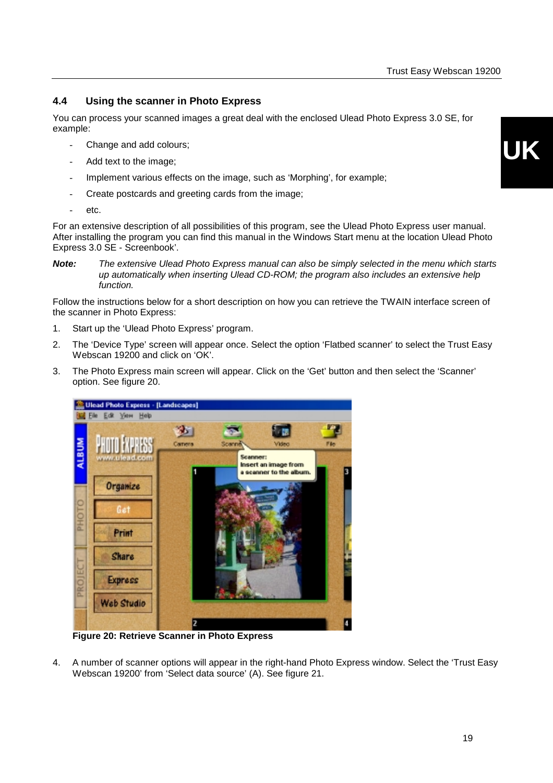#### <span id="page-20-0"></span>**4.4 Using the scanner in Photo Express**

You can process your scanned images a great deal with the enclosed Ulead Photo Express 3.0 SE, for example:

- Change and add colours;
- Add text to the image;
- Implement various effects on the image, such as 'Morphing', for example;
- Create postcards and greeting cards from the image;
- etc.

For an extensive description of all possibilities of this program, see the Ulead Photo Express user manual. After installing the program you can find this manual in the Windows Start menu at the location Ulead Photo Express 3.0 SE - Screenbook'.

Follow the instructions below for a short description on how you can retrieve the TWAIN interface screen of the scanner in Photo Express:

- 1. Start up the 'Ulead Photo Express' program.
- 2. The 'Device Type' screen will appear once. Select the option 'Flatbed scanner' to select the Trust Easy Webscan 19200 and click on 'OK'.
- 3. The Photo Express main screen will appear. Click on the 'Get' button and then select the 'Scanner' option. See figure 20.



**Figure 20: Retrieve Scanner in Photo Express**

4. A number of scanner options will appear in the right-hand Photo Express window. Select the 'Trust Easy Webscan 19200' from 'Select data source' (A). See figure 21.

*Note: The extensive Ulead Photo Express manual can also be simply selected in the menu which starts up automatically when inserting Ulead CD-ROM; the program also includes an extensive help function.*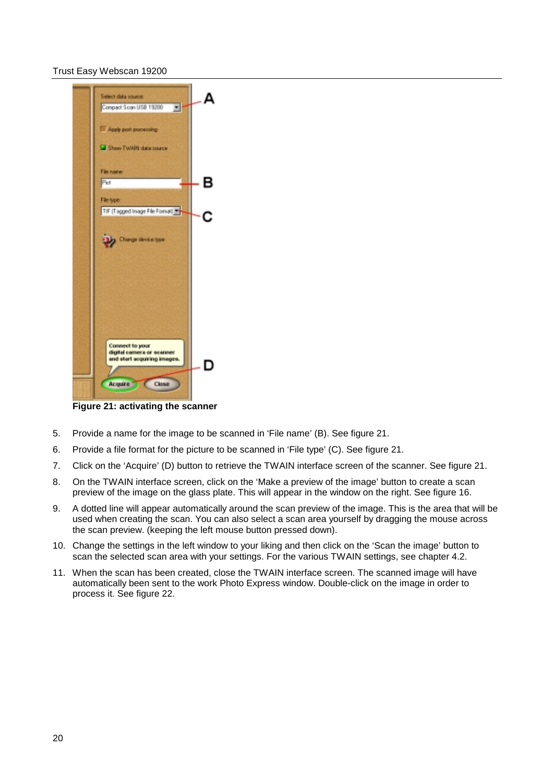

**Figure 21: activating the scanner**

- 5. Provide a name for the image to be scanned in 'File name' (B). See figure 21.
- 6. Provide a file format for the picture to be scanned in 'File type' (C). See figure 21.
- 7. Click on the 'Acquire' (D) button to retrieve the TWAIN interface screen of the scanner. See figure 21.
- 8. On the TWAIN interface screen, click on the 'Make a preview of the image' button to create a scan preview of the image on the glass plate. This will appear in the window on the right. See figure 16.
- 9. A dotted line will appear automatically around the scan preview of the image. This is the area that will be used when creating the scan. You can also select a scan area yourself by dragging the mouse across the scan preview. (keeping the left mouse button pressed down).
- 10. Change the settings in the left window to your liking and then click on the 'Scan the image' button to scan the selected scan area with your settings. For the various TWAIN settings, see chapter 4.2.
- 11. When the scan has been created, close the TWAIN interface screen. The scanned image will have automatically been sent to the work Photo Express window. Double-click on the image in order to process it. See figure 22.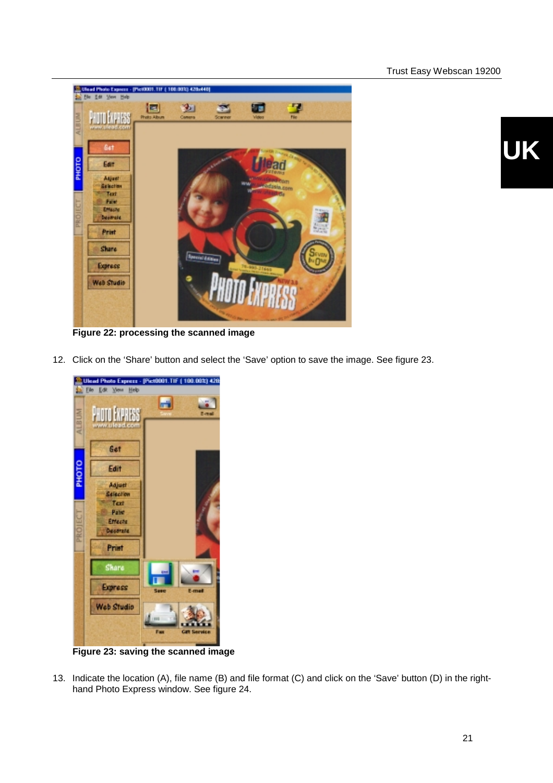

**Figure 22: processing the scanned image**

12. Click on the 'Share' button and select the 'Save' option to save the image. See figure 23.



**Figure 23: saving the scanned image**

13. Indicate the location (A), file name (B) and file format (C) and click on the 'Save' button (D) in the righthand Photo Express window. See figure 24.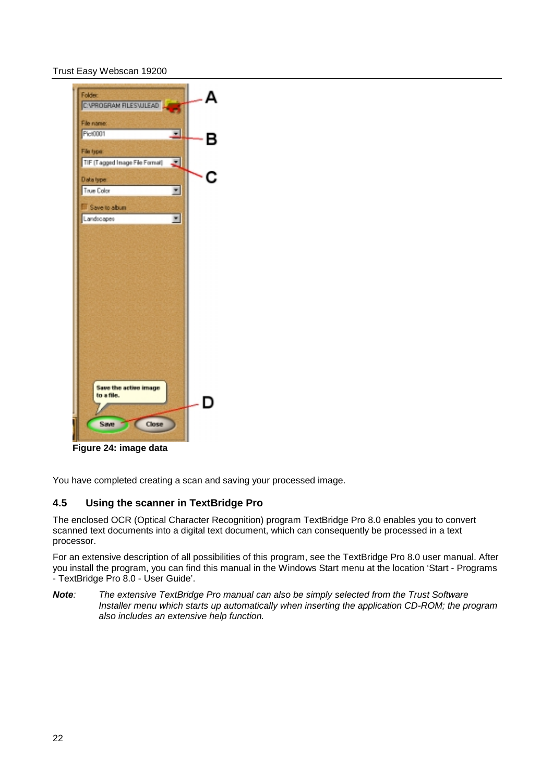<span id="page-23-0"></span>

**Figure 24: image data**

You have completed creating a scan and saving your processed image.

#### **4.5 Using the scanner in TextBridge Pro**

The enclosed OCR (Optical Character Recognition) program TextBridge Pro 8.0 enables you to convert scanned text documents into a digital text document, which can consequently be processed in a text processor.

For an extensive description of all possibilities of this program, see the TextBridge Pro 8.0 user manual. After you install the program, you can find this manual in the Windows Start menu at the location 'Start - Programs - TextBridge Pro 8.0 - User Guide'.

*Note: The extensive TextBridge Pro manual can also be simply selected from the Trust Software Installer menu which starts up automatically when inserting the application CD-ROM; the program also includes an extensive help function.*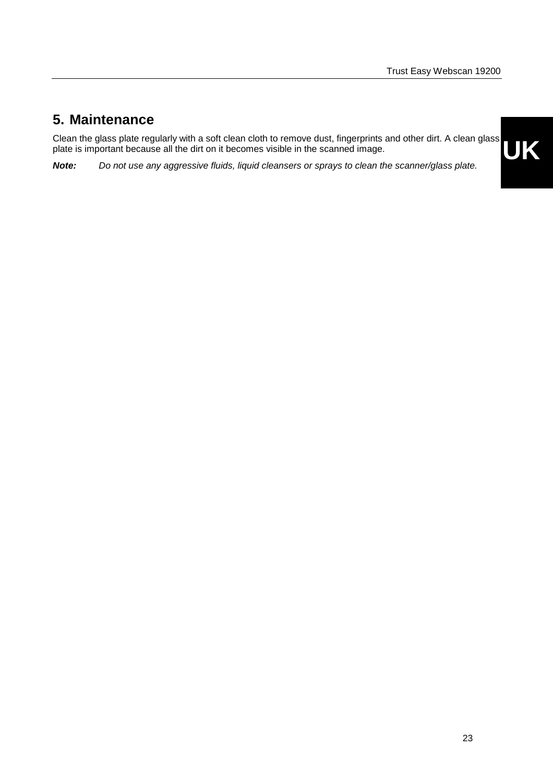### <span id="page-24-0"></span>**5. Maintenance**

**UK** Clean the glass plate regularly with a soft clean cloth to remove dust, fingerprints and other dirt. A clean glass plate is important because all the dirt on it becomes visible in the scanned image.

*Note: Do not use any aggressive fluids, liquid cleansers or sprays to clean the scanner/glass plate.*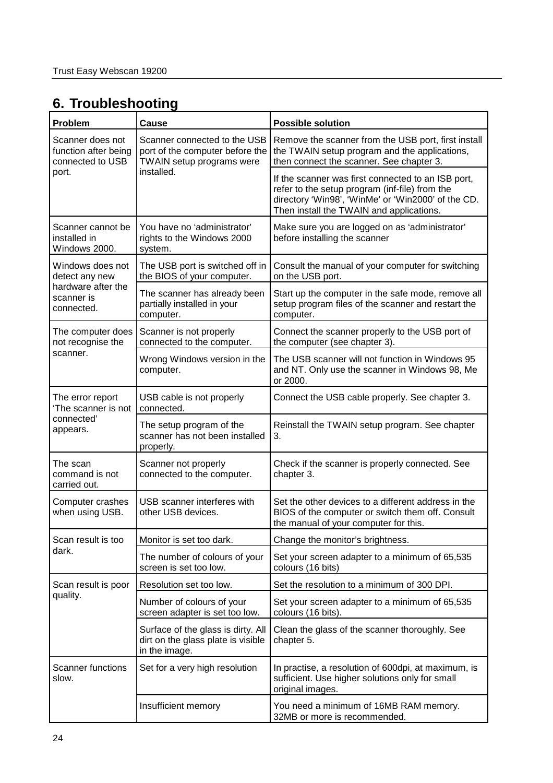## <span id="page-25-0"></span>**6. Troubleshooting**

| Problem                                                           | Cause                                                                                        | <b>Possible solution</b>                                                                                                                                                                               |
|-------------------------------------------------------------------|----------------------------------------------------------------------------------------------|--------------------------------------------------------------------------------------------------------------------------------------------------------------------------------------------------------|
| Scanner does not<br>function after being<br>connected to USB      | Scanner connected to the USB<br>port of the computer before the<br>TWAIN setup programs were | Remove the scanner from the USB port, first install<br>the TWAIN setup program and the applications,<br>then connect the scanner. See chapter 3.                                                       |
| port.                                                             | installed.                                                                                   | If the scanner was first connected to an ISB port,<br>refer to the setup program (inf-file) from the<br>directory 'Win98', 'WinMe' or 'Win2000' of the CD.<br>Then install the TWAIN and applications. |
| Scanner cannot be<br>installed in<br>Windows 2000.                | You have no 'administrator'<br>rights to the Windows 2000<br>system.                         | Make sure you are logged on as 'administrator'<br>before installing the scanner                                                                                                                        |
| Windows does not<br>detect any new                                | The USB port is switched off in<br>the BIOS of your computer.                                | Consult the manual of your computer for switching<br>on the USB port.                                                                                                                                  |
| hardware after the<br>scanner is<br>connected.                    | The scanner has already been<br>partially installed in your<br>computer.                     | Start up the computer in the safe mode, remove all<br>setup program files of the scanner and restart the<br>computer.                                                                                  |
| The computer does<br>not recognise the<br>scanner.                | Scanner is not properly<br>connected to the computer.                                        | Connect the scanner properly to the USB port of<br>the computer (see chapter 3).                                                                                                                       |
|                                                                   | Wrong Windows version in the<br>computer.                                                    | The USB scanner will not function in Windows 95<br>and NT. Only use the scanner in Windows 98, Me<br>or 2000.                                                                                          |
| The error report<br>'The scanner is not<br>connected'<br>appears. | USB cable is not properly<br>connected.                                                      | Connect the USB cable properly. See chapter 3.                                                                                                                                                         |
|                                                                   | The setup program of the<br>scanner has not been installed<br>properly.                      | Reinstall the TWAIN setup program. See chapter<br>3.                                                                                                                                                   |
| The scan<br>command is not<br>carried out.                        | Scanner not properly<br>connected to the computer.                                           | Check if the scanner is properly connected. See<br>chapter 3.                                                                                                                                          |
| Computer crashes<br>when using USB.                               | USB scanner interferes with<br>other USB devices.                                            | Set the other devices to a different address in the<br>BIOS of the computer or switch them off. Consult<br>the manual of your computer for this.                                                       |
| Scan result is too                                                | Monitor is set too dark.                                                                     | Change the monitor's brightness.                                                                                                                                                                       |
| dark.                                                             | The number of colours of your<br>screen is set too low.                                      | Set your screen adapter to a minimum of 65,535<br>colours (16 bits)                                                                                                                                    |
| Scan result is poor                                               | Resolution set too low.                                                                      | Set the resolution to a minimum of 300 DPI.                                                                                                                                                            |
| quality.                                                          | Number of colours of your<br>screen adapter is set too low.                                  | Set your screen adapter to a minimum of 65,535<br>colours (16 bits).                                                                                                                                   |
|                                                                   | Surface of the glass is dirty. All<br>dirt on the glass plate is visible<br>in the image.    | Clean the glass of the scanner thoroughly. See<br>chapter 5.                                                                                                                                           |
| <b>Scanner functions</b><br>slow.                                 | Set for a very high resolution                                                               | In practise, a resolution of 600dpi, at maximum, is<br>sufficient. Use higher solutions only for small<br>original images.                                                                             |
|                                                                   | Insufficient memory                                                                          | You need a minimum of 16MB RAM memory.<br>32MB or more is recommended.                                                                                                                                 |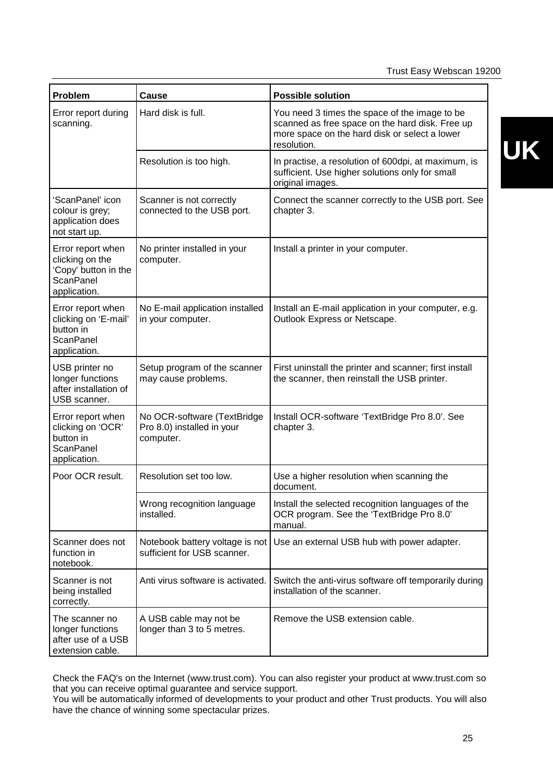| Problem                                                                                          | Cause                                                                  | <b>Possible solution</b>                                                                                                                                         |
|--------------------------------------------------------------------------------------------------|------------------------------------------------------------------------|------------------------------------------------------------------------------------------------------------------------------------------------------------------|
| Error report during<br>scanning.                                                                 | Hard disk is full.                                                     | You need 3 times the space of the image to be<br>scanned as free space on the hard disk. Free up<br>more space on the hard disk or select a lower<br>resolution. |
|                                                                                                  | Resolution is too high.                                                | In practise, a resolution of 600dpi, at maximum, is<br>sufficient. Use higher solutions only for small<br>original images.                                       |
| 'ScanPanel' icon<br>colour is grey;<br>application does<br>not start up.                         | Scanner is not correctly<br>connected to the USB port.                 | Connect the scanner correctly to the USB port. See<br>chapter 3.                                                                                                 |
| Error report when<br>clicking on the<br>'Copy' button in the<br><b>ScanPanel</b><br>application. | No printer installed in your<br>computer.                              | Install a printer in your computer.                                                                                                                              |
| Error report when<br>clicking on 'E-mail'<br>button in<br>ScanPanel<br>application.              | No E-mail application installed<br>in your computer.                   | Install an E-mail application in your computer, e.g.<br>Outlook Express or Netscape.                                                                             |
| USB printer no<br>longer functions<br>after installation of<br>USB scanner.                      | Setup program of the scanner<br>may cause problems.                    | First uninstall the printer and scanner; first install<br>the scanner, then reinstall the USB printer.                                                           |
| Error report when<br>clicking on 'OCR'<br>button in<br>ScanPanel<br>application.                 | No OCR-software (TextBridge<br>Pro 8.0) installed in your<br>computer. | Install OCR-software 'TextBridge Pro 8.0'. See<br>chapter 3.                                                                                                     |
| Poor OCR result.                                                                                 | Resolution set too low.                                                | Use a higher resolution when scanning the<br>document.                                                                                                           |
|                                                                                                  | Wrong recognition language<br>installed.                               | Install the selected recognition languages of the<br>OCR program. See the 'TextBridge Pro 8.0'<br>manual.                                                        |
| Scanner does not<br>function in<br>notebook.                                                     | Notebook battery voltage is not<br>sufficient for USB scanner.         | Use an external USB hub with power adapter.                                                                                                                      |
| Scanner is not<br>being installed<br>correctly.                                                  | Anti virus software is activated.                                      | Switch the anti-virus software off temporarily during<br>installation of the scanner.                                                                            |
| The scanner no<br>longer functions<br>after use of a USB<br>extension cable.                     | A USB cable may not be<br>longer than 3 to 5 metres.                   | Remove the USB extension cable.                                                                                                                                  |

Check the FAQ's on the Internet (www.trust.com). You can also register your product at www.trust.com so that you can receive optimal guarantee and service support.

You will be automatically informed of developments to your product and other Trust products. You will also have the chance of winning some spectacular prizes.

# **UK**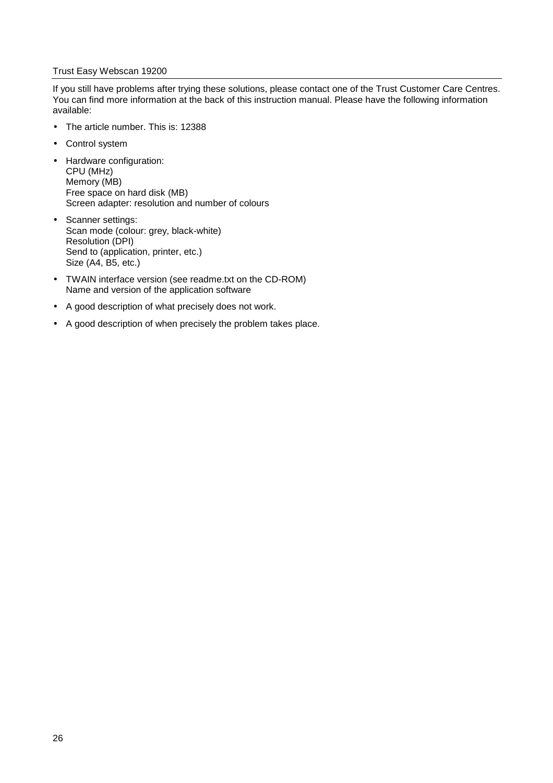If you still have problems after trying these solutions, please contact one of the Trust Customer Care Centres. You can find more information at the back of this instruction manual. Please have the following information available:

- The article number. This is: 12388
- Control system
- Hardware configuration: CPU (MHz) Memory (MB) Free space on hard disk (MB) Screen adapter: resolution and number of colours
- Scanner settings: Scan mode (colour: grey, black-white) Resolution (DPI) Send to (application, printer, etc.) Size (A4, B5, etc.)
- TWAIN interface version (see readme.txt on the CD-ROM) Name and version of the application software
- A good description of what precisely does not work.
- A good description of when precisely the problem takes place.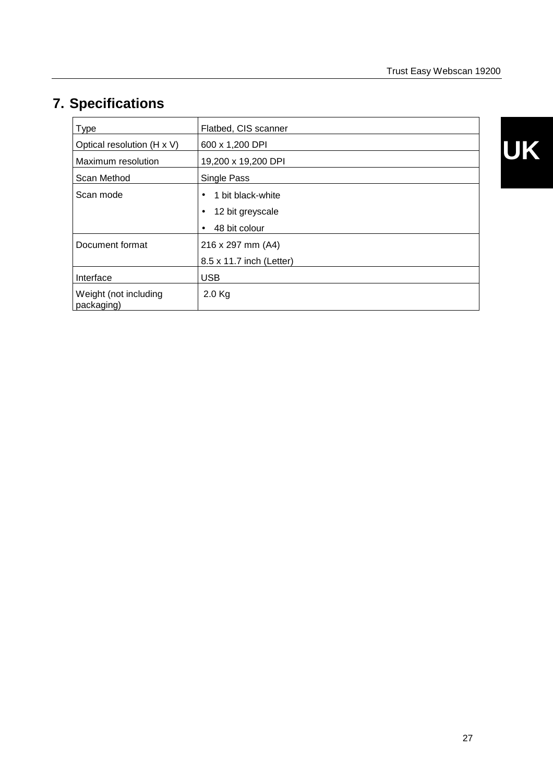# <span id="page-28-0"></span>**7. Specifications**

| <b>Type</b>                         | Flatbed, CIS scanner           |
|-------------------------------------|--------------------------------|
| Optical resolution (H x V)          | 600 x 1,200 DPI                |
|                                     |                                |
| Maximum resolution                  | 19,200 x 19,200 DPI            |
| Scan Method                         | Single Pass                    |
| Scan mode                           | 1 bit black-white<br>$\bullet$ |
|                                     | 12 bit greyscale<br>$\bullet$  |
|                                     | 48 bit colour<br>$\bullet$     |
| Document format                     | 216 x 297 mm (A4)              |
|                                     | 8.5 x 11.7 inch (Letter)       |
| Interface                           | <b>USB</b>                     |
| Weight (not including<br>packaging) | $2.0$ Kg                       |

**UK**